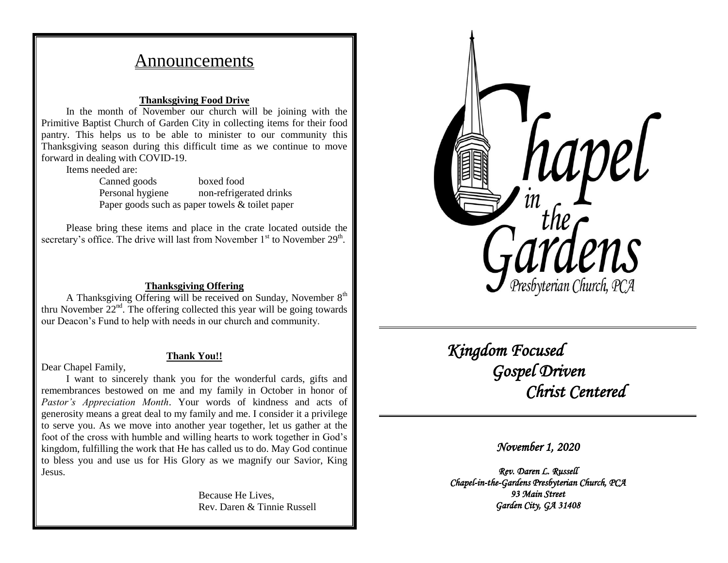# Announcements

### **Thanksgiving Food Drive**

In the month of November our church will be joining with the Primitive Baptist Church of Garden City in collecting items for their food pantry. This helps us to be able to minister to our community this Thanksgiving season during this difficult time as we continue to move forward in dealing with COVID-19.

Items needed are:

Canned goods boxed food Personal hygiene non-refrigerated drinks Paper goods such as paper towels & toilet paper

Please bring these items and place in the crate located outside the secretary's office. The drive will last from November  $1<sup>st</sup>$  to November  $29<sup>th</sup>$ .

### **Thanksgiving Offering**

A Thanksgiving Offering will be received on Sunday, November  $8<sup>th</sup>$ thru November  $22<sup>nd</sup>$ . The offering collected this year will be going towards our Deacon's Fund to help with needs in our church and community.

#### **Thank You!!**

Dear Chapel Family,

I want to sincerely thank you for the wonderful cards, gifts and remembrances bestowed on me and my family in October in honor of *Pastor's Appreciation Month*. Your words of kindness and acts of generosity means a great deal to my family and me. I consider it a privilege to serve you. As we move into another year together, let us gather at the foot of the cross with humble and willing hearts to work together in God's kingdom, fulfilling the work that He has called us to do. May God continue to bless you and use us for His Glory as we magnify our Savior, King Jesus.

> Because He Lives, Rev. Daren & Tinnie Russell



 *Kingdom Focused Gospel Driven Christ Centered* 

*November 1, 2020* 

*Rev. Daren L. Russell Chapel-in-the-Gardens Presbyterian Church, PCA 93 Main Street Garden City, GA 31408*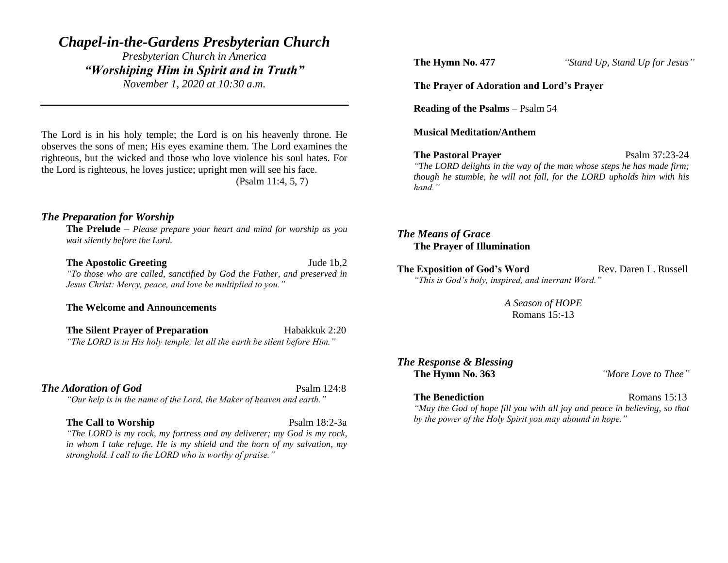# *Chapel-in-the-Gardens Presbyterian Church*

*Presbyterian Church in America "Worshiping Him in Spirit and in Truth" November 1, 2020 at 10:30 a.m.*

The Lord is in his holy temple; the Lord is on his heavenly throne. He observes the sons of men; His eyes examine them. The Lord examines the righteous, but the wicked and those who love violence his soul hates. For the Lord is righteous, he loves justice; upright men will see his face. (Psalm 11:4, 5, 7)

# *The Preparation for Worship*

**The Prelude** – *Please prepare your heart and mind for worship as you wait silently before the Lord.*

#### **The Apostolic Greeting Jude 1b,2**

*"To those who are called, sanctified by God the Father, and preserved in Jesus Christ: Mercy, peace, and love be multiplied to you."*

# **The Welcome and Announcements**

**The Silent Prayer of Preparation** Habakkuk 2:20 *"The LORD is in His holy temple; let all the earth be silent before Him."*

### **The Adoration of God** Psalm 124:8

*"Our help is in the name of the Lord, the Maker of heaven and earth."*

#### **The Call to Worship** Psalm 18:2-3a

*"The LORD is my rock, my fortress and my deliverer; my God is my rock, in whom I take refuge. He is my shield and the horn of my salvation, my stronghold. I call to the LORD who is worthy of praise."*

**The Hymn No. 477** *"Stand Up, Stand Up for Jesus"*

#### **The Prayer of Adoration and Lord's Prayer**

**Reading of the Psalms** – Psalm 54

**Musical Meditation/Anthem**

#### **The Pastoral Prayer** Psalm 37:23-24

*"The LORD delights in the way of the man whose steps he has made firm;* 

*though he stumble, he will not fall, for the LORD upholds him with his hand."*

# *The Means of Grace* **The Prayer of Illumination**

**The Exposition of God's Word Rev. Daren L. Russell** *"This is God's holy, inspired, and inerrant Word."*

> *A Season of HOPE* Romans 15:-13

# *The Response & Blessing* **The Hymn No. 363** *"More Love to Thee"*

# **The Benediction Romans 15:13**

*"May the God of hope fill you with all joy and peace in believing, so that by the power of the Holy Spirit you may abound in hope."*